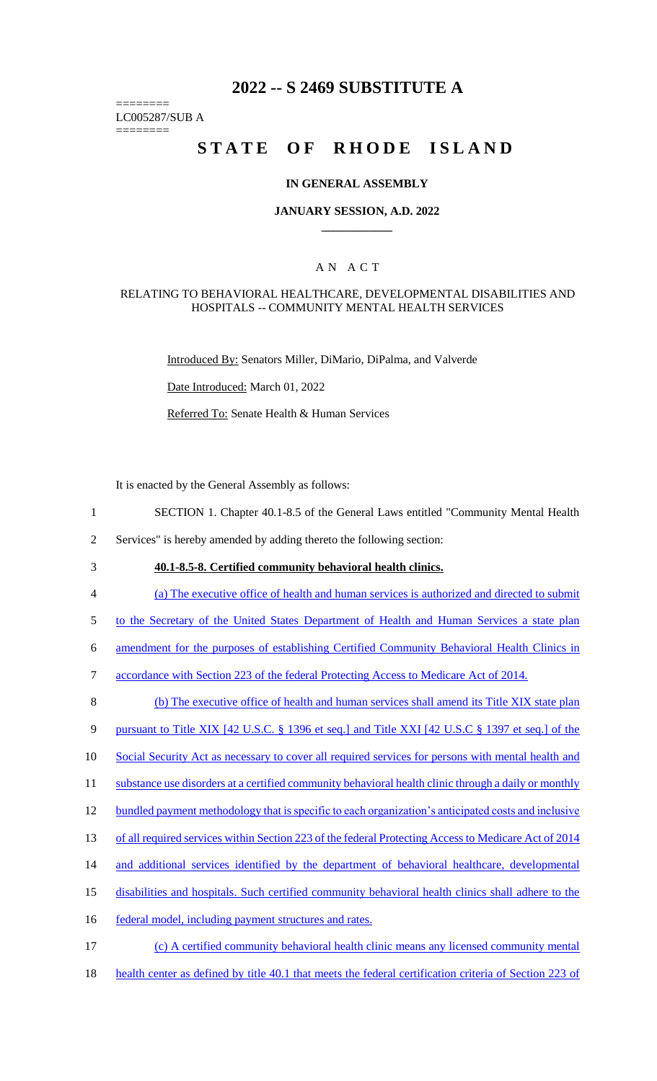# **2022 -- S 2469 SUBSTITUTE A**

======== LC005287/SUB A

========

# STATE OF RHODE ISLAND

#### **IN GENERAL ASSEMBLY**

#### **JANUARY SESSION, A.D. 2022 \_\_\_\_\_\_\_\_\_\_\_\_**

## A N A C T

#### RELATING TO BEHAVIORAL HEALTHCARE, DEVELOPMENTAL DISABILITIES AND HOSPITALS -- COMMUNITY MENTAL HEALTH SERVICES

Introduced By: Senators Miller, DiMario, DiPalma, and Valverde

Date Introduced: March 01, 2022

Referred To: Senate Health & Human Services

It is enacted by the General Assembly as follows:

1 SECTION 1. Chapter 40.1-8.5 of the General Laws entitled "Community Mental Health

2 Services" is hereby amended by adding thereto the following section:

3 **40.1-8.5-8. Certified community behavioral health clinics.** 

4 (a) The executive office of health and human services is authorized and directed to submit

5 to the Secretary of the United States Department of Health and Human Services a state plan

6 amendment for the purposes of establishing Certified Community Behavioral Health Clinics in

7 accordance with Section 223 of the federal Protecting Access to Medicare Act of 2014.

8 (b) The executive office of health and human services shall amend its Title XIX state plan

9 pursuant to Title XIX [42 U.S.C. § 1396 et seq.] and Title XXI [42 U.S.C § 1397 et seq.] of the

10 Social Security Act as necessary to cover all required services for persons with mental health and

11 substance use disorders at a certified community behavioral health clinic through a daily or monthly

12 bundled payment methodology that is specific to each organization's anticipated costs and inclusive

13 of all required services within Section 223 of the federal Protecting Access to Medicare Act of 2014

- 14 and additional services identified by the department of behavioral healthcare, developmental
- 15 disabilities and hospitals. Such certified community behavioral health clinics shall adhere to the

16 federal model, including payment structures and rates.

- 17 (c) A certified community behavioral health clinic means any licensed community mental
- 18 health center as defined by title 40.1 that meets the federal certification criteria of Section 223 of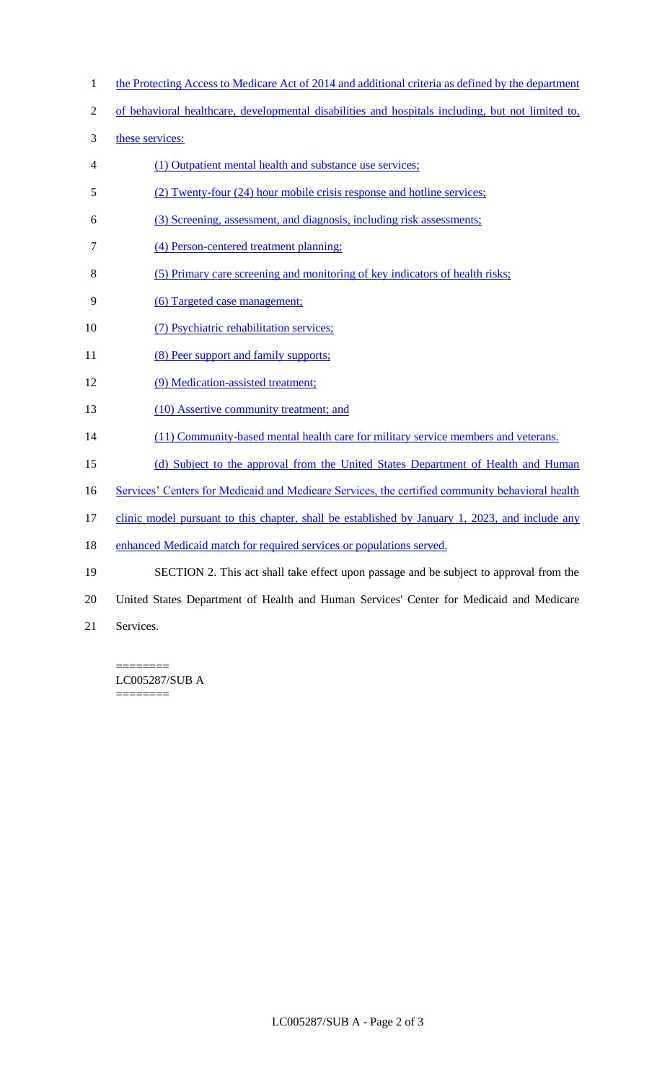- 1 the Protecting Access to Medicare Act of 2014 and additional criteria as defined by the department
- 2 of behavioral healthcare, developmental disabilities and hospitals including, but not limited to,
- 3 these services:
- 4 (1) Outpatient mental health and substance use services;
- 5 (2) Twenty-four (24) hour mobile crisis response and hotline services;
- 6 (3) Screening, assessment, and diagnosis, including risk assessments;
- 7 (4) Person-centered treatment planning;
- 8 (5) Primary care screening and monitoring of key indicators of health risks;
- 9 (6) Targeted case management;
- 10 (7) Psychiatric rehabilitation services;
- 11 (8) Peer support and family supports;
- 12 (9) Medication-assisted treatment;
- 13 (10) Assertive community treatment; and
- 14 (11) Community-based mental health care for military service members and veterans.
- 15 (d) Subject to the approval from the United States Department of Health and Human
- 16 Services' Centers for Medicaid and Medicare Services, the certified community behavioral health
- 17 clinic model pursuant to this chapter, shall be established by January 1, 2023, and include any
- 18 enhanced Medicaid match for required services or populations served.
- 19 SECTION 2. This act shall take effect upon passage and be subject to approval from the
- 20 United States Department of Health and Human Services' Center for Medicaid and Medicare
- 21 Services.

======== LC005287/SUB A ========